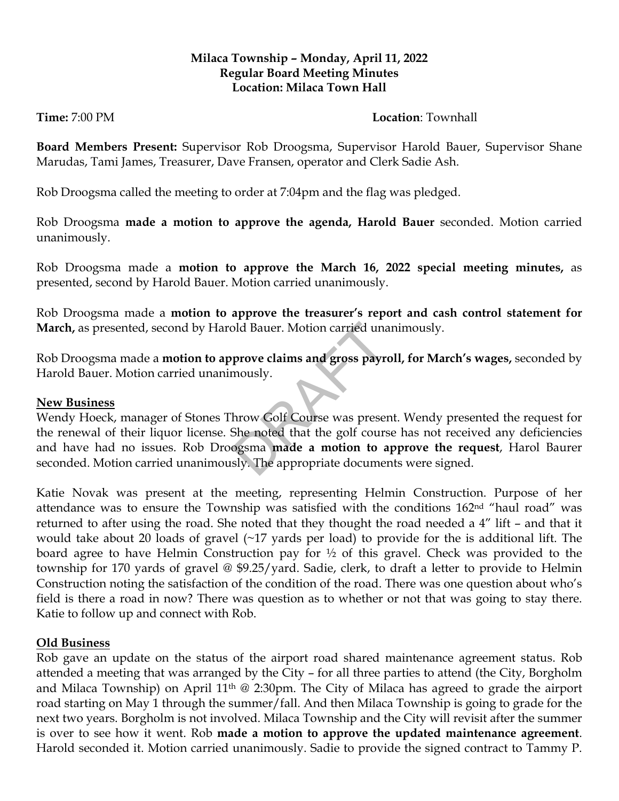#### **Milaca Township – Monday, April 11, 2022 Regular Board Meeting Minutes Location: Milaca Town Hall**

# **Time:** 7:00 PM

**Board Members Present:** Supervisor Rob Droogsma, Supervisor Harold Bauer, Supervisor Shane Marudas, Tami James, Treasurer, Dave Fransen, operator and Clerk Sadie Ash.

Rob Droogsma called the meeting to order at 7:04pm and the flag was pledged.

Rob Droogsma **made a motion to approve the agenda, Harold Bauer** seconded. Motion carried unanimously.

Rob Droogsma made a **motion to approve the March 16, 2022 special meeting minutes,** as presented, second by Harold Bauer. Motion carried unanimously.

Rob Droogsma made a **motion to approve the treasurer's report and cash control statement for March,** as presented, second by Harold Bauer. Motion carried unanimously.

Rob Droogsma made a **motion to approve claims and gross payroll, for March's wages,** seconded by Harold Bauer. Motion carried unanimously.

## **New Business**

Wendy Hoeck, manager of Stones Throw Golf Course was present. Wendy presented the request for the renewal of their liquor license. She noted that the golf course has not received any deficiencies and have had no issues. Rob Droogsma **made a motion to approve the request**, Harol Baurer seconded. Motion carried unanimously. The appropriate documents were signed. bld Bauer. Motion carried una<br>
prove claims and gross payr<br>
mously.<br>
hrow Golf Course was prese:<br>
She noted that the golf cours<br>
ogsma **made a motion to a**<br>
sly. The appropriate docume

Katie Novak was present at the meeting, representing Helmin Construction. Purpose of her attendance was to ensure the Township was satisfied with the conditions 162nd "haul road" was returned to after using the road. She noted that they thought the road needed a 4" lift – and that it would take about 20 loads of gravel (~17 yards per load) to provide for the is additional lift. The board agree to have Helmin Construction pay for ½ of this gravel. Check was provided to the township for 170 yards of gravel @ \$9.25/yard. Sadie, clerk, to draft a letter to provide to Helmin Construction noting the satisfaction of the condition of the road. There was one question about who's field is there a road in now? There was question as to whether or not that was going to stay there. Katie to follow up and connect with Rob.

## **Old Business**

Rob gave an update on the status of the airport road shared maintenance agreement status. Rob attended a meeting that was arranged by the City – for all three parties to attend (the City, Borgholm and Milaca Township) on April 11<sup>th</sup> @ 2:30pm. The City of Milaca has agreed to grade the airport road starting on May 1 through the summer/fall. And then Milaca Township is going to grade for the next two years. Borgholm is not involved. Milaca Township and the City will revisit after the summer is over to see how it went. Rob **made a motion to approve the updated maintenance agreement**. Harold seconded it. Motion carried unanimously. Sadie to provide the signed contract to Tammy P.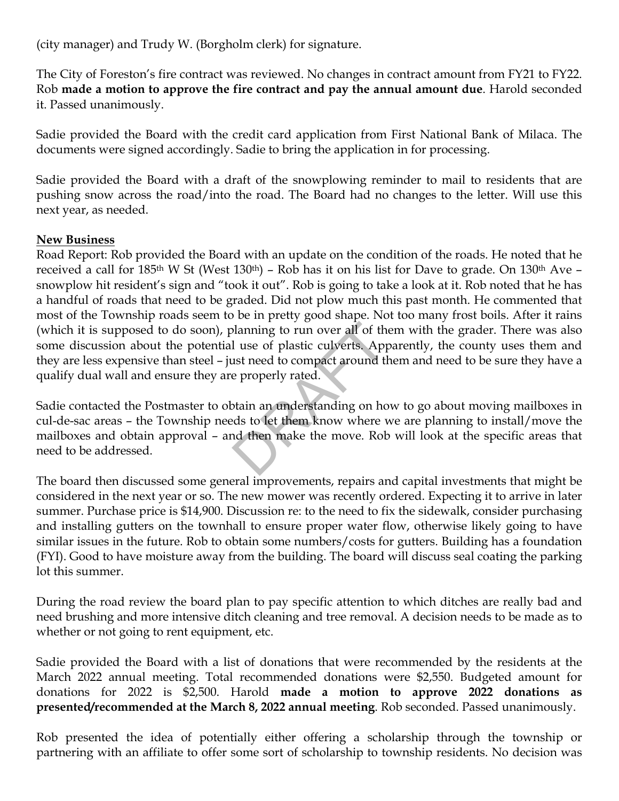(city manager) and Trudy W. (Borgholm clerk) for signature.

The City of Foreston's fire contract was reviewed. No changes in contract amount from FY21 to FY22. Rob **made a motion to approve the fire contract and pay the annual amount due**. Harold seconded it. Passed unanimously.

Sadie provided the Board with the credit card application from First National Bank of Milaca. The documents were signed accordingly. Sadie to bring the application in for processing.

Sadie provided the Board with a draft of the snowplowing reminder to mail to residents that are pushing snow across the road/into the road. The Board had no changes to the letter. Will use this next year, as needed.

#### **New Business**

Road Report: Rob provided the Board with an update on the condition of the roads. He noted that he received a call for 185<sup>th</sup> W St (West 130<sup>th</sup>) – Rob has it on his list for Dave to grade. On 130<sup>th</sup> Ave – snowplow hit resident's sign and "took it out". Rob is going to take a look at it. Rob noted that he has a handful of roads that need to be graded. Did not plow much this past month. He commented that most of the Township roads seem to be in pretty good shape. Not too many frost boils. After it rains (which it is supposed to do soon), planning to run over all of them with the grader. There was also some discussion about the potential use of plastic culverts. Apparently, the county uses them and they are less expensive than steel – just need to compact around them and need to be sure they have a qualify dual wall and ensure they are properly rated. Manning to run over all of th<br>
I use of plastic culverts. App<br>
ust need to compact around the<br>
properly rated.<br>
Ustain an understanding on hotels<br>
to let them know where with the make the move. Rot

Sadie contacted the Postmaster to obtain an understanding on how to go about moving mailboxes in cul-de-sac areas – the Township needs to let them know where we are planning to install/move the mailboxes and obtain approval – and then make the move. Rob will look at the specific areas that need to be addressed.

The board then discussed some general improvements, repairs and capital investments that might be considered in the next year or so. The new mower was recently ordered. Expecting it to arrive in later summer. Purchase price is \$14,900. Discussion re: to the need to fix the sidewalk, consider purchasing and installing gutters on the townhall to ensure proper water flow, otherwise likely going to have similar issues in the future. Rob to obtain some numbers/costs for gutters. Building has a foundation (FYI). Good to have moisture away from the building. The board will discuss seal coating the parking lot this summer.

During the road review the board plan to pay specific attention to which ditches are really bad and need brushing and more intensive ditch cleaning and tree removal. A decision needs to be made as to whether or not going to rent equipment, etc.

Sadie provided the Board with a list of donations that were recommended by the residents at the March 2022 annual meeting. Total recommended donations were \$2,550. Budgeted amount for donations for 2022 is \$2,500. Harold **made a motion to approve 2022 donations as presented/recommended at the March 8, 2022 annual meeting**. Rob seconded. Passed unanimously.

Rob presented the idea of potentially either offering a scholarship through the township or partnering with an affiliate to offer some sort of scholarship to township residents. No decision was